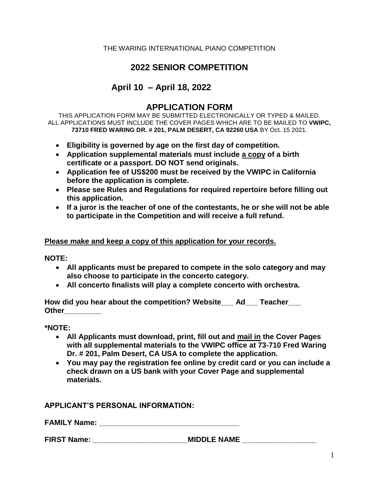## THE WARING INTERNATIONAL PIANO COMPETITION

## **2022 SENIOR COMPETITION**

# **April 10 – April 18, 2022**

## **APPLICATION FORM**

THIS APPLICATION FORM MAY BE SUBMITTED ELECTRONICALLY OR TYPED & MAILED. ALL APPLICATIONS MUST INCLUDE THE COVER PAGES WHICH ARE TO BE MAILED TO **VWIPC, 73710 FRED WARING DR. # 201, PALM DESERT, CA 92260 USA** BY Oct. 15 2021.

- **Eligibility is governed by age on the first day of competition.**
- **Application supplemental materials must include a copy of a birth certificate or a passport. DO NOT send originals.**
- **Application fee of US\$200 must be received by the VWIPC in California before the application is complete.**
- **Please see Rules and Regulations for required repertoire before filling out this application.**
- **If a juror is the teacher of one of the contestants, he or she will not be able to participate in the Competition and will receive a full refund.**

## **Please make and keep a copy of this application for your records.**

**NOTE:** 

- **All applicants must be prepared to compete in the solo category and may also choose to participate in the concerto category.**
- **All concerto finalists will play a complete concerto with orchestra.**

**How did you hear about the competition? Website\_\_\_ Ad\_\_\_ Teacher\_\_\_ Other\_\_\_\_\_\_\_\_\_**

**\*NOTE:** 

- **All Applicants must download, print, fill out and mail in the Cover Pages with all supplemental materials to the VWIPC office at 73-710 Fred Waring Dr. # 201, Palm Desert, CA USA to complete the application.**
- **You may pay the registration fee online by credit card or you can include a check drawn on a US bank with your Cover Page and supplemental materials.**

**APPLICANT'S PERSONAL INFORMATION:**

**FAMILY Name:**  $\blacksquare$ 

FIRST Name: The state of the MIDDLE NAME And MIDDLE NAME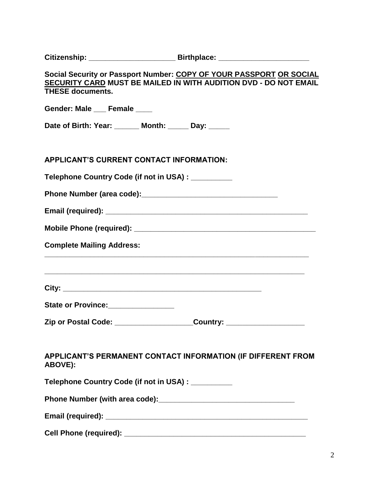|                                                     | Citizenship: __________________________________Birthplace: _____________________                                                        |
|-----------------------------------------------------|-----------------------------------------------------------------------------------------------------------------------------------------|
| <b>THESE documents.</b>                             | Social Security or Passport Number: COPY OF YOUR PASSPORT OR SOCIAL<br>SECURITY CARD MUST BE MAILED IN WITH AUDITION DVD - DO NOT EMAIL |
| Gender: Male ___ Female ___                         |                                                                                                                                         |
| Date of Birth: Year: ______ Month: _____ Day: _____ |                                                                                                                                         |
| <b>APPLICANT'S CURRENT CONTACT INFORMATION:</b>     |                                                                                                                                         |
| Telephone Country Code (if not in USA) : __________ |                                                                                                                                         |
|                                                     |                                                                                                                                         |
|                                                     |                                                                                                                                         |
|                                                     |                                                                                                                                         |
| <b>Complete Mailing Address:</b>                    |                                                                                                                                         |
|                                                     |                                                                                                                                         |
| State or Province: _______________                  |                                                                                                                                         |
|                                                     | Zip or Postal Code: ____________________Country: ____________________                                                                   |
| ABOVE):                                             | APPLICANT'S PERMANENT CONTACT INFORMATION (IF DIFFERENT FROM                                                                            |
| Telephone Country Code (if not in USA) : _________  |                                                                                                                                         |
|                                                     |                                                                                                                                         |
|                                                     |                                                                                                                                         |
|                                                     |                                                                                                                                         |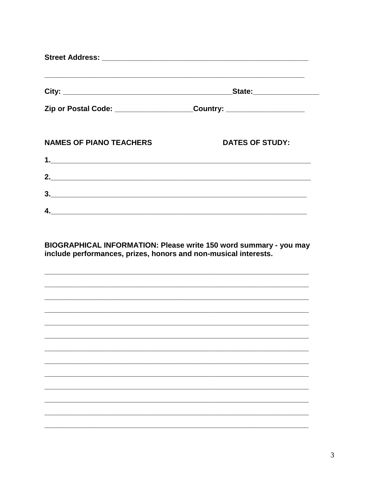|                                | Zip or Postal Code: ________________________Country: ___________________________ |
|--------------------------------|----------------------------------------------------------------------------------|
| <b>NAMES OF PIANO TEACHERS</b> | <b>DATES OF STUDY:</b>                                                           |
|                                |                                                                                  |
|                                |                                                                                  |
| $\overline{\mathbf{3.}}$       |                                                                                  |
| 4. $\overline{\phantom{a}}$    |                                                                                  |

BIOGRAPHICAL INFORMATION: Please write 150 word summary - you may include performances, prizes, honors and non-musical interests.

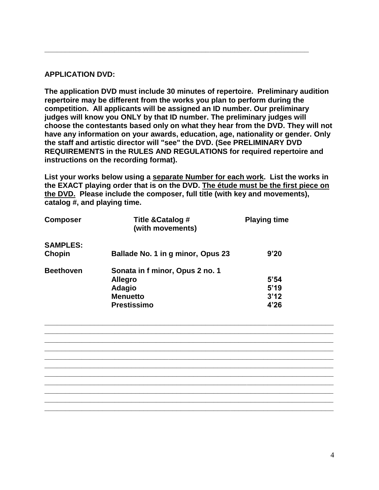## **APPLICATION DVD:**

**The application DVD must include 30 minutes of repertoire. Preliminary audition repertoire may be different from the works you plan to perform during the competition. All applicants will be assigned an ID number. Our preliminary judges will know you ONLY by that ID number. The preliminary judges will choose the contestants based only on what they hear from the DVD. They will not have any information on your awards, education, age, nationality or gender. Only the staff and artistic director will "see" the DVD. (See PRELIMINARY DVD REQUIREMENTS in the RULES AND REGULATIONS for required repertoire and instructions on the recording format).**

**\_\_\_\_\_\_\_\_\_\_\_\_\_\_\_\_\_\_\_\_\_\_\_\_\_\_\_\_\_\_\_\_\_\_\_\_\_\_\_\_\_\_\_\_\_\_\_\_\_\_\_\_\_\_\_\_\_\_\_\_\_\_\_\_**

**List your works below using a separate Number for each work. List the works in the EXACT playing order that is on the DVD. The étude must be the first piece on the DVD. Please include the composer, full title (with key and movements), catalog #, and playing time.**

| <b>Composer</b>           | Title & Catalog #<br>(with movements)                                                                       | <b>Playing time</b>          |
|---------------------------|-------------------------------------------------------------------------------------------------------------|------------------------------|
| <b>SAMPLES:</b><br>Chopin | Ballade No. 1 in g minor, Opus 23                                                                           | 9'20                         |
| <b>Beethoven</b>          | Sonata in f minor, Opus 2 no. 1<br><b>Allegro</b><br><b>Adagio</b><br><b>Menuetto</b><br><b>Prestissimo</b> | 5'54<br>5'19<br>3'12<br>4'26 |

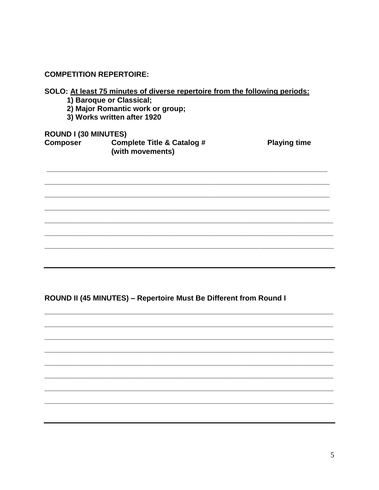**COMPETITION REPERTOIRE:** 

| SOLO: At least 75 minutes of diverse repertoire from the following periods: |  |  |  |  |  |  |
|-----------------------------------------------------------------------------|--|--|--|--|--|--|
|                                                                             |  |  |  |  |  |  |

- 
- 1) Baroque or Classical;<br>2) Major Romantic work or group;
- 3) Works written after 1920

**ROUND I (30 MINUTES)** 

| <b>Composer</b> | <b>Complete Title &amp; Catalog #</b> | <b>Playing time</b> |
|-----------------|---------------------------------------|---------------------|
|                 | (with movements)                      |                     |

ROUND II (45 MINUTES) - Repertoire Must Be Different from Round I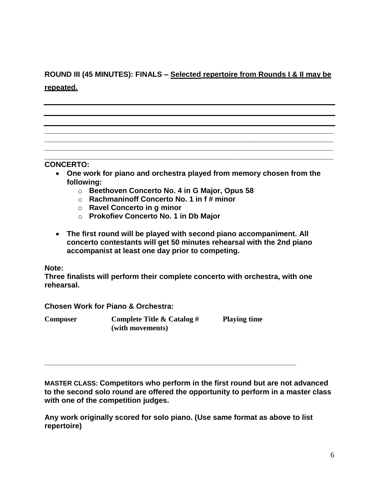# **ROUND III (45 MINUTES): FINALS – Selected repertoire from Rounds I & II may be repeated.**

#### **\_\_\_\_\_\_\_\_\_\_\_\_\_\_\_\_\_\_\_\_\_\_\_\_\_\_\_\_\_\_\_\_\_\_\_\_\_\_\_\_\_\_\_\_\_\_\_\_\_\_\_\_\_\_\_\_\_\_\_\_\_\_\_\_\_\_\_\_\_\_ CONCERTO:**

 **One work for piano and orchestra played from memory chosen from the following:** 

**\_\_\_\_\_\_\_\_\_\_\_\_\_\_\_\_\_\_\_\_\_\_\_\_\_\_\_\_\_\_\_\_\_\_\_\_\_\_\_\_\_\_\_\_\_\_\_\_\_\_\_\_\_\_\_\_\_\_\_\_\_\_\_\_\_\_\_\_\_\_ \_\_\_\_\_\_\_\_\_\_\_\_\_\_\_\_\_\_\_\_\_\_\_\_\_\_\_\_\_\_\_\_\_\_\_\_\_\_\_\_\_\_\_\_\_\_\_\_\_\_\_\_\_\_\_\_\_\_\_\_\_\_\_\_\_\_\_\_\_\_ \_\_\_\_\_\_\_\_\_\_\_\_\_\_\_\_\_\_\_\_\_\_\_\_\_\_\_\_\_\_\_\_\_\_\_\_\_\_\_\_\_\_\_\_\_\_\_\_\_\_\_\_\_\_\_\_\_\_\_\_\_\_\_\_\_\_\_\_\_\_**

- o **Beethoven Concerto No. 4 in G Major, Opus 58**
- o **Rachmaninoff Concerto No. 1 in f # minor**
- o **Ravel Concerto in g minor**
- o **Prokofiev Concerto No. 1 in Db Major**
- **The first round will be played with second piano accompaniment. All concerto contestants will get 50 minutes rehearsal with the 2nd piano accompanist at least one day prior to competing.**

#### **Note:**

**Three finalists will perform their complete concerto with orchestra, with one rehearsal.**

**Chosen Work for Piano & Orchestra:**

| Composer | Complete Title & Catalog $#$ | <b>Playing time</b> |  |  |
|----------|------------------------------|---------------------|--|--|
|          | (with movements)             |                     |  |  |

**MASTER CLASS: Competitors who perform in the first round but are not advanced to the second solo round are offered the opportunity to perform in a master class with one of the competition judges.**

**Any work originally scored for solo piano. (Use same format as above to list repertoire)**

**\_\_\_\_\_\_\_\_\_\_\_\_\_\_\_\_\_\_\_\_\_\_\_\_\_\_\_\_\_\_\_\_\_\_\_\_\_\_\_\_\_\_\_\_\_\_\_\_\_\_\_\_\_\_\_\_\_\_\_\_\_**